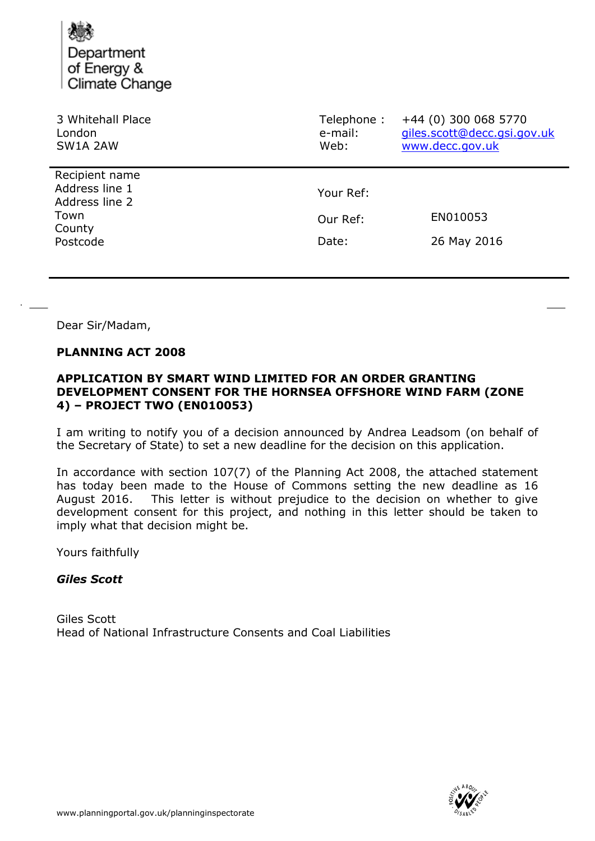Department of Energy & Climate Change

| 3 Whitehall Place<br>London<br>SW1A 2AW                                          | Telephone:<br>e-mail:<br>Web: | +44 (0) 300 068 5770<br>giles.scott@decc.gsi.gov.uk<br>www.decc.gov.uk |
|----------------------------------------------------------------------------------|-------------------------------|------------------------------------------------------------------------|
| Recipient name<br>Address line 1<br>Address line 2<br>Town<br>County<br>Postcode | Your Ref:                     |                                                                        |
|                                                                                  | Our Ref:                      | EN010053                                                               |
|                                                                                  | Date:                         | 26 May 2016                                                            |

Dear Sir/Madam,

#### **PLANNING ACT 2008**

### **APPLICATION BY SMART WIND LIMITED FOR AN ORDER GRANTING DEVELOPMENT CONSENT FOR THE HORNSEA OFFSHORE WIND FARM (ZONE 4) – PROJECT TWO (EN010053)**

I am writing to notify you of a decision announced by Andrea Leadsom (on behalf of the Secretary of State) to set a new deadline for the decision on this application.

In accordance with section 107(7) of the Planning Act 2008, the attached statement has today been made to the House of Commons setting the new deadline as 16 August 2016. This letter is without prejudice to the decision on whether to give development consent for this project, and nothing in this letter should be taken to imply what that decision might be.

Yours faithfully

### *Giles Scott*

Giles Scott Head of National Infrastructure Consents and Coal Liabilities